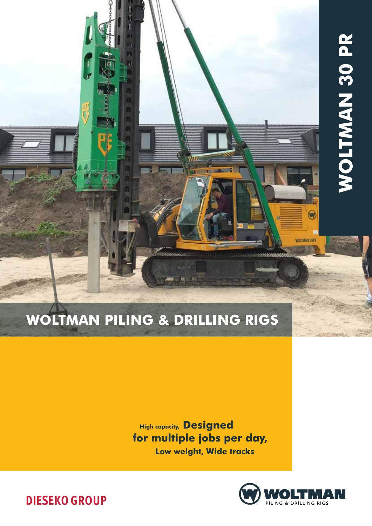

# Woltman Piling & Drilling rigs

High capacity, Designed for multiple jobs per day, Low weight, Wide tracks